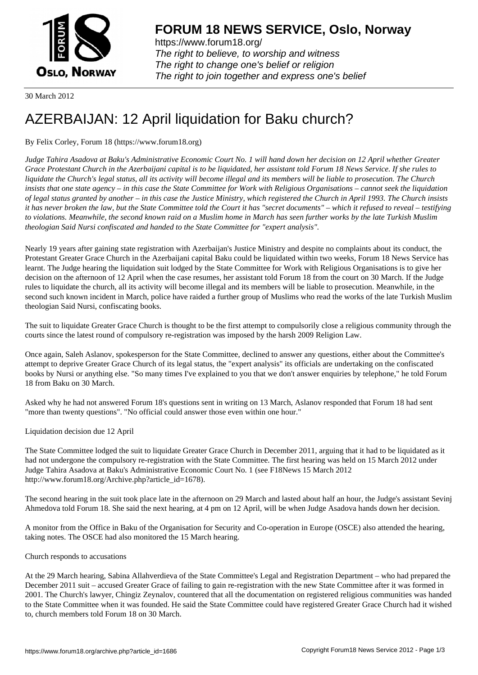

https://www.forum18.org/ The right to believe, to worship and witness The right to change one's belief or religion [The right to join together a](https://www.forum18.org/)nd express one's belief

30 March 2012

## [AZERBAIJAN: 1](https://www.forum18.org)2 April liquidation for Baku church?

By Felix Corley, Forum 18 (https://www.forum18.org)

*Judge Tahira Asadova at Baku's Administrative Economic Court No. 1 will hand down her decision on 12 April whether Greater Grace Protestant Church in the Azerbaijani capital is to be liquidated, her assistant told Forum 18 News Service. If she rules to liquidate the Church's legal status, all its activity will become illegal and its members will be liable to prosecution. The Church insists that one state agency – in this case the State Committee for Work with Religious Organisations – cannot seek the liquidation of legal status granted by another – in this case the Justice Ministry, which registered the Church in April 1993. The Church insists it has never broken the law, but the State Committee told the Court it has "secret documents" – which it refused to reveal – testifying to violations. Meanwhile, the second known raid on a Muslim home in March has seen further works by the late Turkish Muslim theologian Said Nursi confiscated and handed to the State Committee for "expert analysis".*

Nearly 19 years after gaining state registration with Azerbaijan's Justice Ministry and despite no complaints about its conduct, the Protestant Greater Grace Church in the Azerbaijani capital Baku could be liquidated within two weeks, Forum 18 News Service has learnt. The Judge hearing the liquidation suit lodged by the State Committee for Work with Religious Organisations is to give her decision on the afternoon of 12 April when the case resumes, her assistant told Forum 18 from the court on 30 March. If the Judge rules to liquidate the church, all its activity will become illegal and its members will be liable to prosecution. Meanwhile, in the second such known incident in March, police have raided a further group of Muslims who read the works of the late Turkish Muslim theologian Said Nursi, confiscating books.

The suit to liquidate Greater Grace Church is thought to be the first attempt to compulsorily close a religious community through the courts since the latest round of compulsory re-registration was imposed by the harsh 2009 Religion Law.

Once again, Saleh Aslanov, spokesperson for the State Committee, declined to answer any questions, either about the Committee's attempt to deprive Greater Grace Church of its legal status, the "expert analysis" its officials are undertaking on the confiscated books by Nursi or anything else. "So many times I've explained to you that we don't answer enquiries by telephone," he told Forum 18 from Baku on 30 March.

Asked why he had not answered Forum 18's questions sent in writing on 13 March, Aslanov responded that Forum 18 had sent "more than twenty questions". "No official could answer those even within one hour."

Liquidation decision due 12 April

The State Committee lodged the suit to liquidate Greater Grace Church in December 2011, arguing that it had to be liquidated as it had not undergone the compulsory re-registration with the State Committee. The first hearing was held on 15 March 2012 under Judge Tahira Asadova at Baku's Administrative Economic Court No. 1 (see F18News 15 March 2012 http://www.forum18.org/Archive.php?article\_id=1678).

The second hearing in the suit took place late in the afternoon on 29 March and lasted about half an hour, the Judge's assistant Sevinj Ahmedova told Forum 18. She said the next hearing, at 4 pm on 12 April, will be when Judge Asadova hands down her decision.

A monitor from the Office in Baku of the Organisation for Security and Co-operation in Europe (OSCE) also attended the hearing, taking notes. The OSCE had also monitored the 15 March hearing.

## Church responds to accusations

At the 29 March hearing, Sabina Allahverdieva of the State Committee's Legal and Registration Department – who had prepared the December 2011 suit – accused Greater Grace of failing to gain re-registration with the new State Committee after it was formed in 2001. The Church's lawyer, Chingiz Zeynalov, countered that all the documentation on registered religious communities was handed to the State Committee when it was founded. He said the State Committee could have registered Greater Grace Church had it wished to, church members told Forum 18 on 30 March.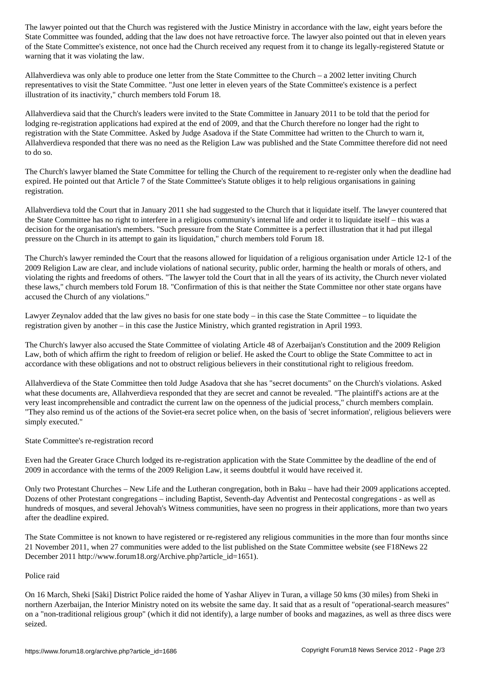State  $C$  adding that the law does not have retroactive force. The lawyer also pointed out that in eleven years  $\mathcal{A}$ of the State Committee's existence, not once had the Church received any request from it to change its legally-registered Statute or warning that it was violating the law.

Allahverdieva was only able to produce one letter from the State Committee to the Church – a 2002 letter inviting Church representatives to visit the State Committee. "Just one letter in eleven years of the State Committee's existence is a perfect illustration of its inactivity," church members told Forum 18.

Allahverdieva said that the Church's leaders were invited to the State Committee in January 2011 to be told that the period for lodging re-registration applications had expired at the end of 2009, and that the Church therefore no longer had the right to registration with the State Committee. Asked by Judge Asadova if the State Committee had written to the Church to warn it, Allahverdieva responded that there was no need as the Religion Law was published and the State Committee therefore did not need to do so.

The Church's lawyer blamed the State Committee for telling the Church of the requirement to re-register only when the deadline had expired. He pointed out that Article 7 of the State Committee's Statute obliges it to help religious organisations in gaining registration.

Allahverdieva told the Court that in January 2011 she had suggested to the Church that it liquidate itself. The lawyer countered that the State Committee has no right to interfere in a religious community's internal life and order it to liquidate itself – this was a decision for the organisation's members. "Such pressure from the State Committee is a perfect illustration that it had put illegal pressure on the Church in its attempt to gain its liquidation," church members told Forum 18.

The Church's lawyer reminded the Court that the reasons allowed for liquidation of a religious organisation under Article 12-1 of the 2009 Religion Law are clear, and include violations of national security, public order, harming the health or morals of others, and violating the rights and freedoms of others. "The lawyer told the Court that in all the years of its activity, the Church never violated these laws," church members told Forum 18. "Confirmation of this is that neither the State Committee nor other state organs have accused the Church of any violations."

Lawyer Zeynalov added that the law gives no basis for one state body – in this case the State Committee – to liquidate the registration given by another – in this case the Justice Ministry, which granted registration in April 1993.

The Church's lawyer also accused the State Committee of violating Article 48 of Azerbaijan's Constitution and the 2009 Religion Law, both of which affirm the right to freedom of religion or belief. He asked the Court to oblige the State Committee to act in accordance with these obligations and not to obstruct religious believers in their constitutional right to religious freedom.

Allahverdieva of the State Committee then told Judge Asadova that she has "secret documents" on the Church's violations. Asked what these documents are, Allahverdieva responded that they are secret and cannot be revealed. "The plaintiff's actions are at the very least incomprehensible and contradict the current law on the openness of the judicial process," church members complain. "They also remind us of the actions of the Soviet-era secret police when, on the basis of 'secret information', religious believers were simply executed."

State Committee's re-registration record

Even had the Greater Grace Church lodged its re-registration application with the State Committee by the deadline of the end of 2009 in accordance with the terms of the 2009 Religion Law, it seems doubtful it would have received it.

Only two Protestant Churches – New Life and the Lutheran congregation, both in Baku – have had their 2009 applications accepted. Dozens of other Protestant congregations – including Baptist, Seventh-day Adventist and Pentecostal congregations - as well as hundreds of mosques, and several Jehovah's Witness communities, have seen no progress in their applications, more than two years after the deadline expired.

The State Committee is not known to have registered or re-registered any religious communities in the more than four months since 21 November 2011, when 27 communities were added to the list published on the State Committee website (see F18News 22 December 2011 http://www.forum18.org/Archive.php?article\_id=1651).

## Police raid

On 16 March, Sheki [Säki] District Police raided the home of Yashar Aliyev in Turan, a village 50 kms (30 miles) from Sheki in northern Azerbaijan, the Interior Ministry noted on its website the same day. It said that as a result of "operational-search measures" on a "non-traditional religious group" (which it did not identify), a large number of books and magazines, as well as three discs were seized.